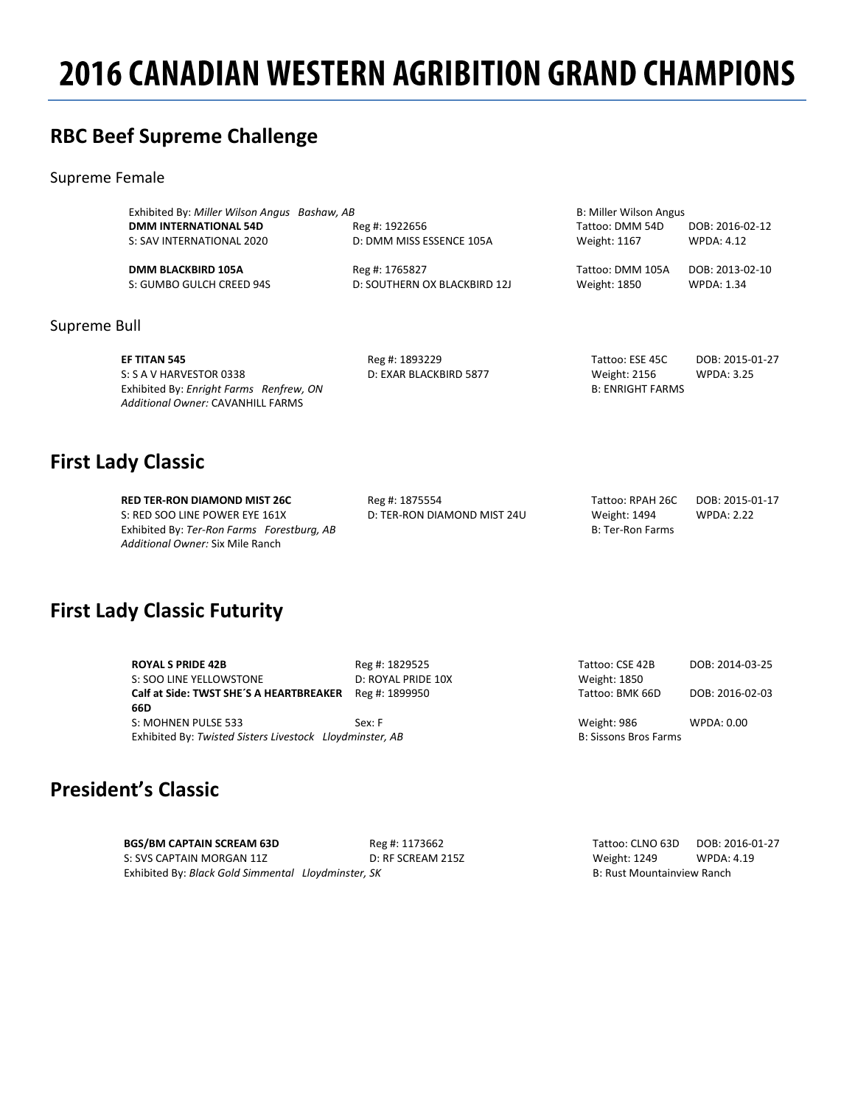# **2016 CANADIAN WESTERN AGRIBITION GRAND CHAMPIONS**

### **RBC Beef Supreme Challenge**

#### Supreme Female

Supreme

| Exhibited By: Miller Wilson Angus Bashaw, AB |                              | B: Miller Wilson Angus  |                   |
|----------------------------------------------|------------------------------|-------------------------|-------------------|
| <b>DMM INTERNATIONAL 54D</b>                 | Reg #: 1922656               | Tattoo: DMM 54D         | DOB: 2016-02-12   |
| S: SAV INTERNATIONAL 2020                    | D: DMM MISS ESSENCE 105A     | Weight: 1167            | <b>WPDA: 4.12</b> |
| <b>DMM BLACKBIRD 105A</b>                    | Reg #: 1765827               | Tattoo: DMM 105A        | DOB: 2013-02-10   |
| S: GUMBO GULCH CREED 94S                     | D: SOUTHERN OX BLACKBIRD 12J | Weight: 1850            | <b>WPDA: 1.34</b> |
|                                              |                              |                         |                   |
| Bull                                         |                              |                         |                   |
| EF TITAN 545                                 | Reg #: 1893229               | Tattoo: ESE 45C         | DOB: 2015-01-27   |
| S: S A V HARVESTOR 0338                      | D: EXAR BLACKBIRD 5877       | <b>Weight: 2156</b>     | <b>WPDA: 3.25</b> |
| Exhibited By: Enright Farms Renfrew, ON      |                              | <b>B: ENRIGHT FARMS</b> |                   |

### **First Lady Classic**

**RED TER-RON DIAMOND MIST 26C** Reg #: 1875554 Tattoo: RPAH 26C DOB: 2015-01-17 S: RED SOO LINE POWER EYE 161X D: TER-RON DIAMOND MIST 24U Weight: 1494 WPDA: 2.22 Exhibited By: *Ter-Ron Farms Forestburg, AB* B: Ter-Ron Farms **B:** Ter-Ron Farms *Additional Owner:* Six Mile Ranch

*Additional Owner:* CAVANHILL FARMS

### **First Lady Classic Futurity**

| <b>ROYAL S PRIDE 42B</b>                                 | Reg #: 1829525     | Tattoo: CSE 42B              | DOB: 2014-03-25 |
|----------------------------------------------------------|--------------------|------------------------------|-----------------|
| S: SOO LINE YELLOWSTONE                                  | D: ROYAL PRIDE 10X | Weight: 1850                 |                 |
| Calf at Side: TWST SHE'S A HEARTBREAKER                  | Reg #: 1899950     | Tattoo: BMK 66D              | DOB: 2016-02-03 |
| 66D                                                      |                    |                              |                 |
| S: MOHNEN PULSE 533                                      | Sex: F             | Weight: 986                  | WPDA: 0.00      |
| Exhibited By: Twisted Sisters Livestock Lloydminster, AB |                    | <b>B: Sissons Bros Farms</b> |                 |
|                                                          |                    |                              |                 |

# **President's Classic**

**BGS/BM CAPTAIN SCREAM 63D**<br>
S: SVS CAPTAIN MORGAN 11Z<br>
D: RF SCREAM 215Z<br>
D: RF SCREAM 215Z<br>
Weight: 1249 WPDA: 4.19 S: SVS CAPTAIN MORGAN 11Z Exhibited By: *Black Gold Simmental Lloydminster, SK* B: Rust Mountainview Ranch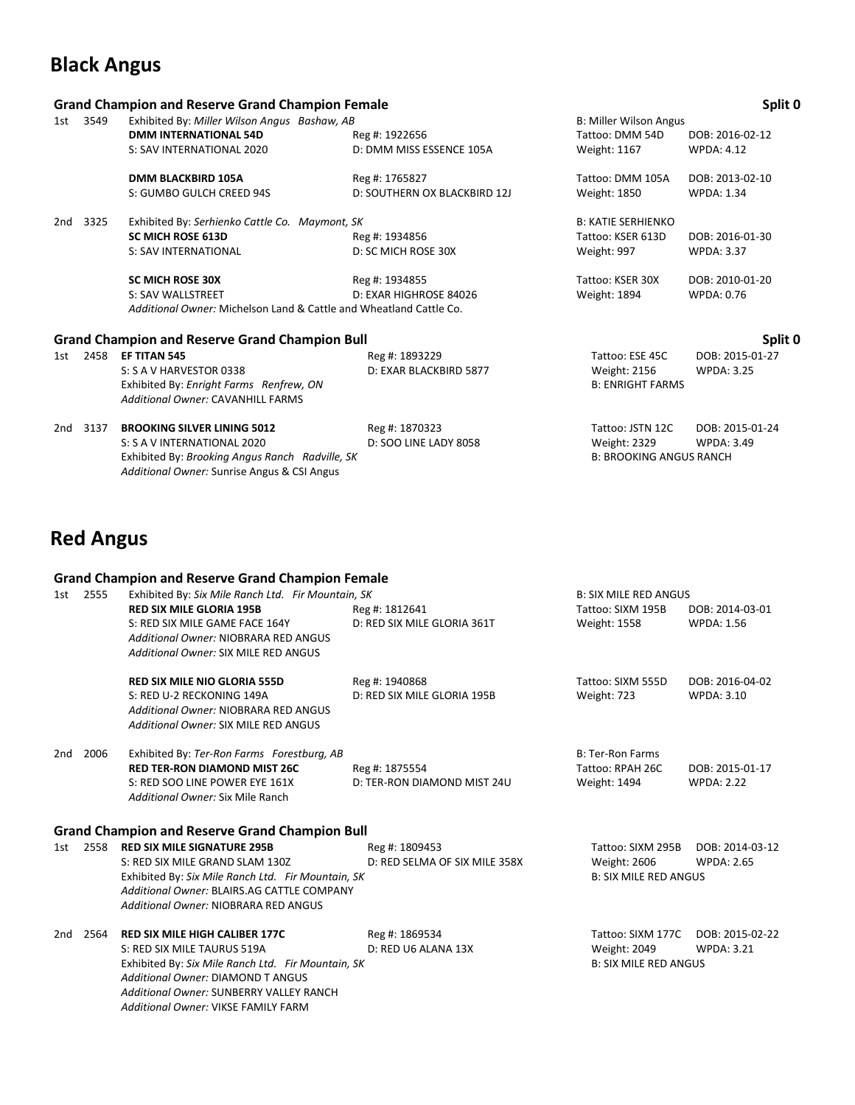### **Black Angus**

### **Grand Champion and Reserve Grand Champion Female Split 0** 1st 3549 Exhibited By: *Miller Wilson Angus Bashaw, AB* B: Miller Wilson Angus **DMM INTERNATIONAL 54D** Reg #: 1922656 Tattoo: DMM 54D DOB: 2016-02-12 S: SAV INTERNATIONAL 2020 D: DMM MISS ESSENCE 105A Weight: 1167 WPDA: 4.12 **DMM BLACKBIRD 105A** Reg #: 1765827 Tattoo: DMM 105A DOB: 2013-02-10<br>S: GUMBO GULCH CREED 94S D: SOUTHERN OX BLACKBIRD 12J Weight: 1850 WPDA: 1.34 D: SOUTHERN OX BLACKBIRD 12J 2nd 3325 Exhibited By: Serhienko Cattle Co. Maymont, SK **Billion Co. Actionate Co. Action** B: KATIE SERHIENKO **SC MICH ROSE 613D** Reg #: 1934856 Tattoo: KSER 613D DOB: 2016-01-30 S: SAV INTERNATIONAL D: SC MICH ROSE 30X Weight: 997 WPDA: 3.37 **SC MICH ROSE 30X Reg #: 1934855** Tattoo: KSER 30X DOB: 2010-01-20 S: SAV WALLSTREET **D: EXAR HIGHROSE 84026** Weight: 1894 WPDA: 0.76 *Additional Owner:* Michelson Land & Cattle and Wheatland Cattle Co. **Grand Champion and Reserve Grand Champion Bull Split 0** 1st 2458 **EF TITAN 545** Reg #: 1893229 Tattoo: ESE 45C DOB: 2015-01-27 S: S A V HARVESTOR 0338 D: EXAR BLACKBIRD 5877 Weight: 2156 WPDA: 3.25<br>
Exhibited By: Enright Farms Renfrew, ON D: EXAR BLACKBIRD 5877 B: ENRIGHT FARMS Exhibited By: *Enright Farms Renfrew, ON Additional Owner:* CAVANHILL FARMS 2nd 3137 **BROOKING SILVER LINING 5012** Reg #: 1870323 Tattoo: JSTN 12C DOB: 2015-01-24

S: S A V INTERNATIONAL 2020 D: SOO LINE LADY 8058 Weight: 2329 WPDA: 3.49<br>Exhibited By: Brooking Angus Ranch Radville, SK B: BROOKING ANGUS RANCH Exhibited By: *Brooking Angus Ranch Radville, SK Additional Owner:* Sunrise Angus & CSI Angus

### **Red Angus**

#### **Grand Champion and Reserve Grand Champion Female**

| 1st | 2555 | Exhibited By: Six Mile Ranch Ltd. Fir Mountain, SK    |                               | <b>B: SIX MILE RED ANGUS</b> |                   |
|-----|------|-------------------------------------------------------|-------------------------------|------------------------------|-------------------|
|     |      | <b>RED SIX MILE GLORIA 195B</b>                       | Reg #: 1812641                | Tattoo: SIXM 195B            | DOB: 2014-03-01   |
|     |      | S: RED SIX MILE GAME FACE 164Y                        | D: RED SIX MILE GLORIA 361T   | <b>Weight: 1558</b>          | <b>WPDA: 1.56</b> |
|     |      | <b>Additional Owner: NIOBRARA RED ANGUS</b>           |                               |                              |                   |
|     |      | <b>Additional Owner: SIX MILE RED ANGUS</b>           |                               |                              |                   |
|     |      | <b>RED SIX MILE NIO GLORIA 555D</b>                   | Reg #: 1940868                | Tattoo: SIXM 555D            | DOB: 2016-04-02   |
|     |      | S: RED U-2 RECKONING 149A                             | D: RED SIX MILE GLORIA 195B   | Weight: 723                  | <b>WPDA: 3.10</b> |
|     |      | Additional Owner: NIOBRARA RED ANGUS                  |                               |                              |                   |
|     |      | <b>Additional Owner: SIX MILE RED ANGUS</b>           |                               |                              |                   |
| 2nd | 2006 | Exhibited By: Ter-Ron Farms Forestburg, AB            |                               | <b>B: Ter-Ron Farms</b>      |                   |
|     |      | <b>RED TER-RON DIAMOND MIST 26C</b>                   | Reg #: 1875554                | Tattoo: RPAH 26C             | DOB: 2015-01-17   |
|     |      | S: RED SOO LINE POWER EYE 161X                        | D: TER-RON DIAMOND MIST 24U   | Weight: 1494                 | <b>WPDA: 2.22</b> |
|     |      | Additional Owner: Six Mile Ranch                      |                               |                              |                   |
|     |      | <b>Grand Champion and Reserve Grand Champion Bull</b> |                               |                              |                   |
| 1st | 2558 | <b>RED SIX MILE SIGNATURE 295B</b>                    | Reg #: 1809453                | Tattoo: SIXM 295B            | DOB: 2014-03-12   |
|     |      | S: RED SIX MILE GRAND SLAM 130Z                       | D: RED SELMA OF SIX MILE 358X | <b>Weight: 2606</b>          | <b>WPDA: 2.65</b> |
|     |      | Exhibited By: Six Mile Ranch Ltd. Fir Mountain, SK    |                               | <b>B: SIX MILE RED ANGUS</b> |                   |
|     |      | Additional Owner: BLAIRS.AG CATTLE COMPANY            |                               |                              |                   |
|     |      | Additional Owner: NIOBRARA RED ANGUS                  |                               |                              |                   |
| 2nd | 2564 | <b>RED SIX MILE HIGH CALIBER 177C</b>                 | Reg #: 1869534                | Tattoo: SIXM 177C            | DOB: 2015-02-22   |
|     |      | S: RED SIX MILE TAURUS 519A                           | D: RED U6 ALANA 13X           | Weight: 2049                 | WPDA: 3.21        |
|     |      | Exhibited By: Six Mile Ranch Ltd. Fir Mountain, SK    |                               | <b>B: SIX MILE RED ANGUS</b> |                   |
|     |      | <b>Additional Owner: DIAMOND T ANGUS</b>              |                               |                              |                   |
|     |      | Additional Owner: SUNBERRY VALLEY RANCH               |                               |                              |                   |
|     |      | <b>Additional Owner: VIKSE FAMILY FARM</b>            |                               |                              |                   |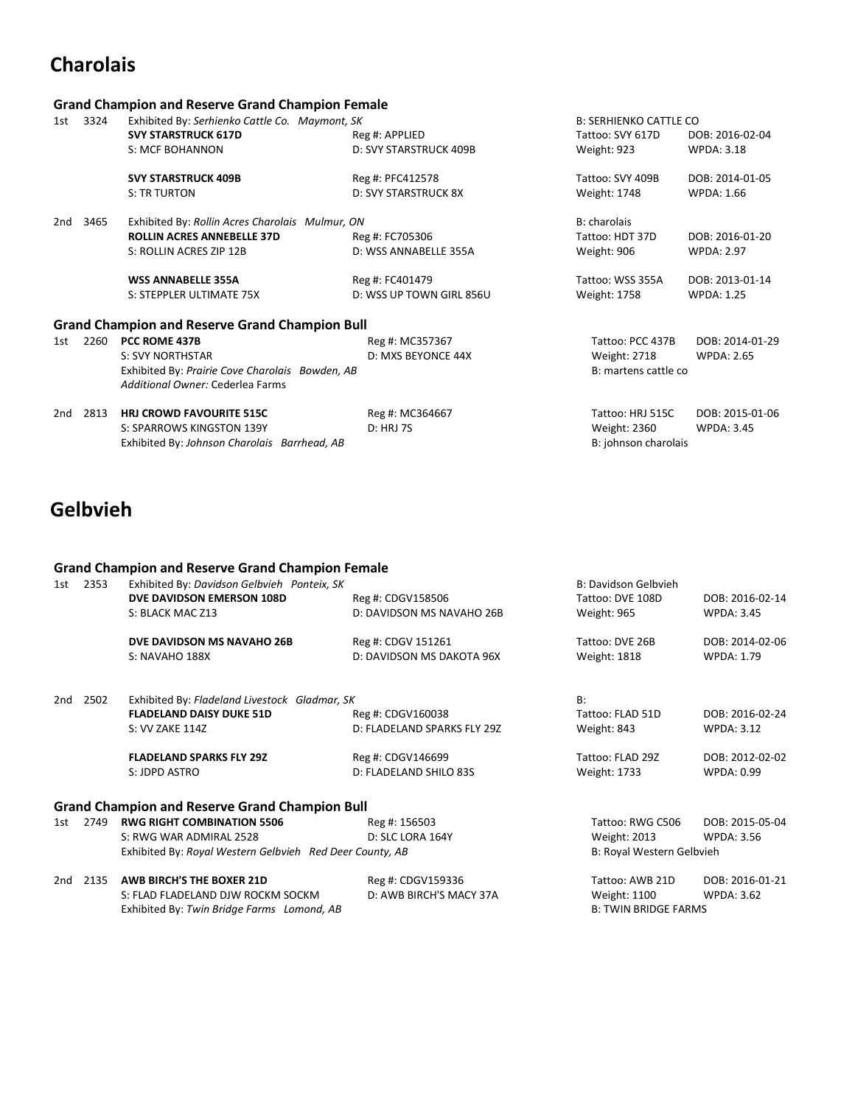# **Charolais**

|     |      | <b>Grand Champion and Reserve Grand Champion Female</b> |                             |                               |                   |
|-----|------|---------------------------------------------------------|-----------------------------|-------------------------------|-------------------|
| 1st | 3324 | Exhibited By: Serhienko Cattle Co. Maymont, SK          |                             | <b>B: SERHIENKO CATTLE CO</b> |                   |
|     |      | <b>SVY STARSTRUCK 617D</b>                              | Reg #: APPLIED              | Tattoo: SVY 617D              | DOB: 2016-02-04   |
|     |      | S: MCF BOHANNON                                         | D: SVY STARSTRUCK 409B      | Weight: 923                   | <b>WPDA: 3.18</b> |
|     |      | <b>SVY STARSTRUCK 409B</b>                              | Reg #: PFC412578            | Tattoo: SVY 409B              | DOB: 2014-01-05   |
|     |      | <b>S: TR TURTON</b>                                     | <b>D: SVY STARSTRUCK 8X</b> | Weight: 1748                  | <b>WPDA: 1.66</b> |
| 2nd | 3465 | Exhibited By: Rollin Acres Charolais Mulmur, ON         |                             | B: charolais                  |                   |
|     |      | <b>ROLLIN ACRES ANNEBELLE 37D</b>                       | Reg #: FC705306             | Tattoo: HDT 37D               | DOB: 2016-01-20   |
|     |      | S: ROLLIN ACRES ZIP 12B                                 | D: WSS ANNABELLE 355A       | Weight: 906                   | <b>WPDA: 2.97</b> |
|     |      | <b>WSS ANNABELLE 355A</b>                               | Reg #: FC401479             | Tattoo: WSS 355A              | DOB: 2013-01-14   |
|     |      | S: STEPPLER ULTIMATE 75X                                | D: WSS UP TOWN GIRL 856U    | Weight: 1758                  | <b>WPDA: 1.25</b> |
|     |      | <b>Grand Champion and Reserve Grand Champion Bull</b>   |                             |                               |                   |
| 1st | 2260 | PCC ROME 437B                                           | Reg #: MC357367             | Tattoo: PCC 437B              | DOB: 2014-01-29   |
|     |      | <b>S: SVY NORTHSTAR</b>                                 | D: MXS BEYONCE 44X          | <b>Weight: 2718</b>           | <b>WPDA: 2.65</b> |
|     |      | Exhibited By: Prairie Cove Charolais Bowden, AB         |                             | B: martens cattle co          |                   |
|     |      | Additional Owner: Cederlea Farms                        |                             |                               |                   |
| 2nd | 2813 | <b>HRJ CROWD FAVOURITE 515C</b>                         | Reg #: MC364667             | Tattoo: HRJ 515C              | DOB: 2015-01-06   |
|     |      | S: SPARROWS KINGSTON 139Y                               | <b>D: HRJ 7S</b>            | <b>Weight: 2360</b>           | <b>WPDA: 3.45</b> |
|     |      | Exhibited By: Johnson Charolais Barrhead, AB            |                             | B: johnson charolais          |                   |

# **Gelbvieh**

### **Grand Champion and Reserve Grand Champion Female**

| 1st | 2353 | Exhibited By: Davidson Gelbvieh Ponteix, SK              |                             | <b>B: Davidson Gelbvieh</b> |                   |
|-----|------|----------------------------------------------------------|-----------------------------|-----------------------------|-------------------|
|     |      | DVE DAVIDSON EMERSON 108D                                | Reg #: CDGV158506           | Tattoo: DVE 108D            | DOB: 2016-02-14   |
|     |      | S: BLACK MAC Z13                                         | D: DAVIDSON MS NAVAHO 26B   | Weight: 965                 | <b>WPDA: 3.45</b> |
|     |      | DVE DAVIDSON MS NAVAHO 26B                               | Reg #: CDGV 151261          | Tattoo: DVE 26B             | DOB: 2014-02-06   |
|     |      | S: NAVAHO 188X                                           | D: DAVIDSON MS DAKOTA 96X   | <b>Weight: 1818</b>         | <b>WPDA: 1.79</b> |
| 2nd | 2502 | Exhibited By: Fladeland Livestock Gladmar, SK            |                             | B:                          |                   |
|     |      | <b>FLADELAND DAISY DUKE 51D</b>                          | Reg #: CDGV160038           | Tattoo: FLAD 51D            | DOB: 2016-02-24   |
|     |      | S: VV ZAKE 114Z                                          | D: FLADELAND SPARKS FLY 29Z | Weight: 843                 | <b>WPDA: 3.12</b> |
|     |      | <b>FLADELAND SPARKS FLY 29Z</b>                          | Reg #: CDGV146699           | Tattoo: FLAD 29Z            | DOB: 2012-02-02   |
|     |      | S: JDPD ASTRO                                            | D: FLADELAND SHILO 83S      | Weight: 1733                | <b>WPDA: 0.99</b> |
|     |      | <b>Grand Champion and Reserve Grand Champion Bull</b>    |                             |                             |                   |
| 1st | 2749 | <b>RWG RIGHT COMBINATION 5506</b>                        | Reg #: 156503               | Tattoo: RWG C506            | DOB: 2015-05-04   |
|     |      | S: RWG WAR ADMIRAL 2528                                  | D: SLC LORA 164Y            | <b>Weight: 2013</b>         | <b>WPDA: 3.56</b> |
|     |      | Exhibited By: Royal Western Gelbvieh Red Deer County, AB |                             | B: Royal Western Gelbvieh   |                   |
| 2nd | 2135 | <b>AWB BIRCH'S THE BOXER 21D</b>                         | Reg #: CDGV159336           | Tattoo: AWB 21D             | DOB: 2016-01-21   |
|     |      | S: FLAD FLADELAND DJW ROCKM SOCKM                        | D: AWB BIRCH'S MACY 37A     | Weight: 1100                | <b>WPDA: 3.62</b> |

Exhibited By: *Twin Bridge Farms Lomond, AB* B: TWIN BRIDGE FARMS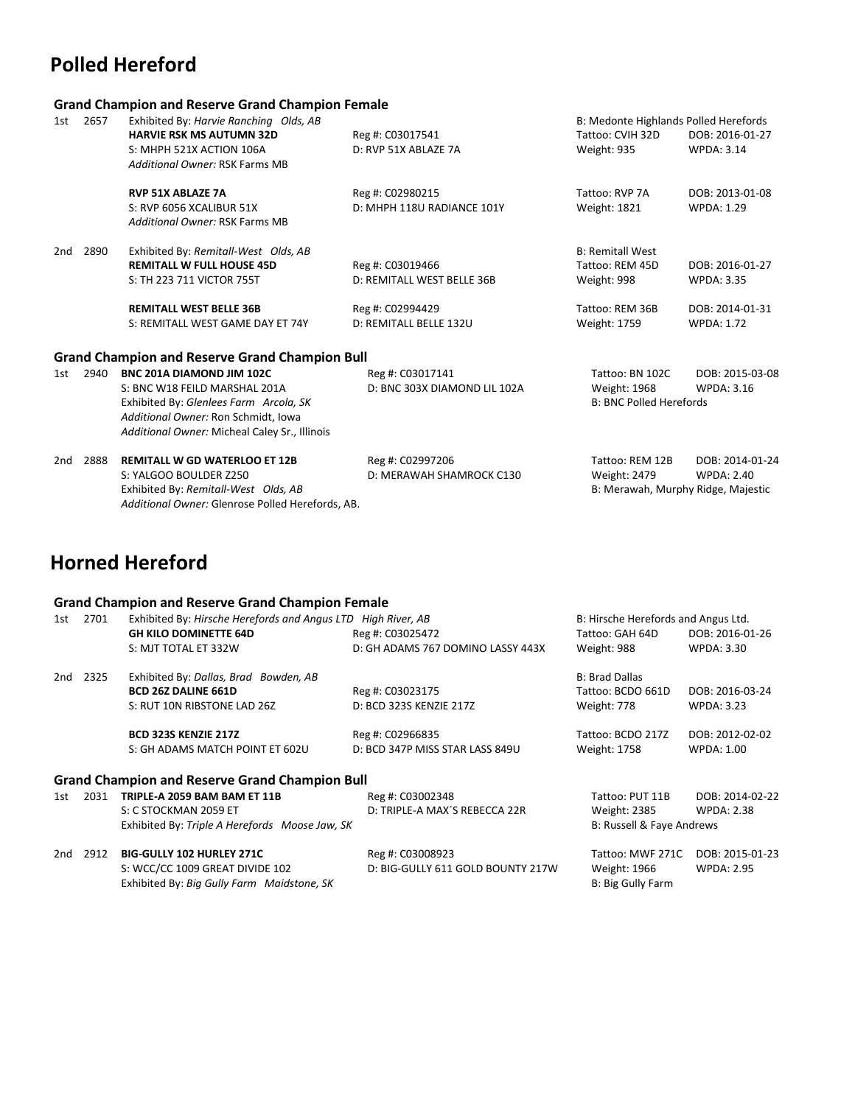# **Polled Hereford**

### **Grand Champion and Reserve Grand Champion Female**

| 1st | 2657 | Exhibited By: Harvie Ranching Olds, AB<br><b>HARVIE RSK MS AUTUMN 32D</b><br>S: MHPH 521X ACTION 106A<br>Additional Owner: RSK Farms MB                                                             | Reg #: C03017541<br>D: RVP 51X ABLAZE 7A                                                     | B: Medonte Highlands Polled Herefords<br>Tattoo: CVIH 32D<br>Weight: 935                     | DOB: 2016-01-27<br><b>WPDA: 3.14</b>                                         |
|-----|------|-----------------------------------------------------------------------------------------------------------------------------------------------------------------------------------------------------|----------------------------------------------------------------------------------------------|----------------------------------------------------------------------------------------------|------------------------------------------------------------------------------|
|     |      | <b>RVP 51X ABLAZE 7A</b><br>S: RVP 6056 XCALIBUR 51X<br>Additional Owner: RSK Farms MB                                                                                                              | Reg #: C02980215<br>D: MHPH 118U RADIANCE 101Y                                               | Tattoo: RVP 7A<br>Weight: 1821                                                               | DOB: 2013-01-08<br><b>WPDA: 1.29</b>                                         |
| 2nd | 2890 | Exhibited By: Remitall-West Olds, AB<br><b>REMITALL W FULL HOUSE 45D</b><br>S: TH 223 711 VICTOR 755T<br><b>REMITALL WEST BELLE 36B</b><br>S: REMITALL WEST GAME DAY ET 74Y                         | Reg #: C03019466<br>D: REMITALL WEST BELLE 36B<br>Reg #: C02994429<br>D: REMITALL BELLE 132U | <b>B: Remitall West</b><br>Tattoo: REM 45D<br>Weight: 998<br>Tattoo: REM 36B<br>Weight: 1759 | DOB: 2016-01-27<br><b>WPDA: 3.35</b><br>DOB: 2014-01-31<br><b>WPDA: 1.72</b> |
|     |      | <b>Grand Champion and Reserve Grand Champion Bull</b>                                                                                                                                               |                                                                                              |                                                                                              |                                                                              |
| 1st | 2940 | <b>BNC 201A DIAMOND JIM 102C</b><br>S: BNC W18 FEILD MARSHAL 201A<br>Exhibited By: Glenlees Farm Arcola, SK<br>Additional Owner: Ron Schmidt, Iowa<br>Additional Owner: Micheal Caley Sr., Illinois | Reg #: C03017141<br>D: BNC 303X DIAMOND LIL 102A                                             | Tattoo: BN 102C<br>Weight: 1968<br><b>B: BNC Polled Herefords</b>                            | DOB: 2015-03-08<br><b>WPDA: 3.16</b>                                         |
| 2nd | 2888 | <b>REMITALL W GD WATERLOO ET 12B</b><br>S: YALGOO BOULDER Z250<br>Exhibited By: Remitall-West Olds, AB<br>Additional Owner: Glenrose Polled Herefords, AB.                                          | Reg #: C02997206<br>D: MERAWAH SHAMROCK C130                                                 | Tattoo: REM 12B<br>Weight: 2479                                                              | DOB: 2014-01-24<br><b>WPDA: 2.40</b><br>B: Merawah, Murphy Ridge, Majestic   |

# **Horned Hereford**

### **Grand Champion and Reserve Grand Champion Female**

| 1st | 2701 | Exhibited By: Hirsche Herefords and Angus LTD High River, AB                  |                                   | B: Hirsche Herefords and Angus Ltd.      |                   |
|-----|------|-------------------------------------------------------------------------------|-----------------------------------|------------------------------------------|-------------------|
|     |      | <b>GH KILO DOMINETTE 64D</b>                                                  | Reg #: C03025472                  | Tattoo: GAH 64D                          | DOB: 2016-01-26   |
|     |      | S: MJT TOTAL ET 332W                                                          | D: GH ADAMS 767 DOMINO LASSY 443X | Weight: 988                              | <b>WPDA: 3.30</b> |
| 2nd | 2325 | Exhibited By: Dallas, Brad Bowden, AB                                         |                                   | <b>B: Brad Dallas</b>                    |                   |
|     |      | <b>BCD 26Z DALINE 661D</b>                                                    | Reg #: C03023175                  | Tattoo: BCDO 661D                        | DOB: 2016-03-24   |
|     |      | S: RUT 10N RIBSTONE LAD 26Z                                                   | D: BCD 323S KENZIE 217Z           | Weight: 778                              | <b>WPDA: 3.23</b> |
|     |      | <b>BCD 323S KENZIE 217Z</b>                                                   | Reg #: C02966835                  | Tattoo: BCDO 217Z                        | DOB: 2012-02-02   |
|     |      | S: GH ADAMS MATCH POINT ET 602U                                               | D: BCD 347P MISS STAR LASS 849U   | <b>Weight: 1758</b>                      | <b>WPDA: 1.00</b> |
|     |      | <b>Grand Champion and Reserve Grand Champion Bull</b>                         |                                   |                                          |                   |
| 1st | 2031 | TRIPLE-A 2059 BAM BAM ET 11B                                                  | Reg #: C03002348                  | Tattoo: PUT 11B                          | DOB: 2014-02-22   |
|     |      | S: C STOCKMAN 2059 ET                                                         | D: TRIPLE-A MAX'S REBECCA 22R     | <b>Weight: 2385</b>                      | <b>WPDA: 2.38</b> |
|     |      | Exhibited By: Triple A Herefords Moose Jaw, SK                                |                                   | B: Russell & Faye Andrews                |                   |
| 2nd | 2912 | <b>BIG-GULLY 102 HURLEY 271C</b>                                              | Reg #: C03008923                  | Tattoo: MWF 271C                         | DOB: 2015-01-23   |
|     |      | S: WCC/CC 1009 GREAT DIVIDE 102<br>Exhibited By: Big Gully Farm Maidstone, SK | D: BIG-GULLY 611 GOLD BOUNTY 217W | <b>Weight: 1966</b><br>B: Big Gully Farm | <b>WPDA: 2.95</b> |
|     |      |                                                                               |                                   |                                          |                   |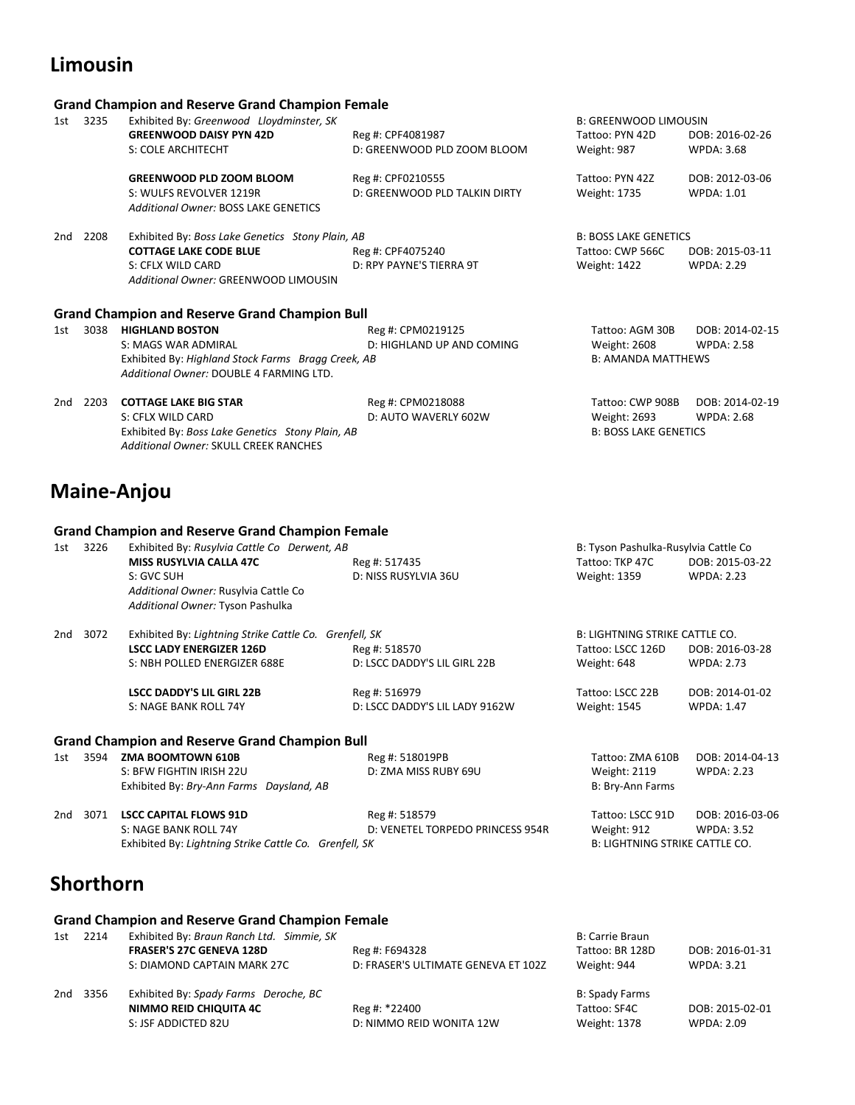# **Limousin**

### **Grand Champion and Reserve Grand Champion Female**

| 3235<br>Exhibited By: Greenwood Lloydminster, SK |                                                                                                  |                                                                                                                                                                                                                   |                                                                                                                                     |
|--------------------------------------------------|--------------------------------------------------------------------------------------------------|-------------------------------------------------------------------------------------------------------------------------------------------------------------------------------------------------------------------|-------------------------------------------------------------------------------------------------------------------------------------|
| <b>GREENWOOD DAISY PYN 42D</b>                   | Reg #: CPF4081987                                                                                | Tattoo: PYN 42D                                                                                                                                                                                                   | DOB: 2016-02-26                                                                                                                     |
| S: COLE ARCHITECHT                               | D: GREENWOOD PLD ZOOM BLOOM                                                                      | Weight: 987                                                                                                                                                                                                       | <b>WPDA: 3.68</b>                                                                                                                   |
| <b>GREENWOOD PLD ZOOM BLOOM</b>                  | Reg #: CPF0210555                                                                                | Tattoo: PYN 42Z                                                                                                                                                                                                   | DOB: 2012-03-06                                                                                                                     |
| S: WULFS REVOLVER 1219R                          | D: GREENWOOD PLD TALKIN DIRTY                                                                    | <b>Weight: 1735</b>                                                                                                                                                                                               | <b>WPDA: 1.01</b>                                                                                                                   |
| Additional Owner: BOSS LAKE GENETICS             |                                                                                                  |                                                                                                                                                                                                                   |                                                                                                                                     |
| 2208                                             |                                                                                                  |                                                                                                                                                                                                                   |                                                                                                                                     |
| <b>COTTAGE LAKE CODE BLUE</b>                    | Reg #: CPF4075240                                                                                | Tattoo: CWP 566C                                                                                                                                                                                                  | DOB: 2015-03-11                                                                                                                     |
| S: CFLX WILD CARD                                | D: RPY PAYNE'S TIERRA 9T                                                                         | <b>Weight: 1422</b>                                                                                                                                                                                               | <b>WPDA: 2.29</b>                                                                                                                   |
| Additional Owner: GREENWOOD LIMOUSIN             |                                                                                                  |                                                                                                                                                                                                                   |                                                                                                                                     |
|                                                  |                                                                                                  |                                                                                                                                                                                                                   |                                                                                                                                     |
|                                                  |                                                                                                  |                                                                                                                                                                                                                   | DOB: 2014-02-15                                                                                                                     |
|                                                  |                                                                                                  |                                                                                                                                                                                                                   | <b>WPDA: 2.58</b>                                                                                                                   |
|                                                  |                                                                                                  |                                                                                                                                                                                                                   |                                                                                                                                     |
|                                                  |                                                                                                  |                                                                                                                                                                                                                   |                                                                                                                                     |
|                                                  |                                                                                                  |                                                                                                                                                                                                                   |                                                                                                                                     |
| <b>COTTAGE LAKE BIG STAR</b><br>2203             | Reg #: CPM0218088                                                                                | Tattoo: CWP 908B                                                                                                                                                                                                  | DOB: 2014-02-19                                                                                                                     |
| S: CFLX WILD CARD                                | D: AUTO WAVERLY 602W                                                                             | Weight: 2693                                                                                                                                                                                                      | <b>WPDA: 2.68</b>                                                                                                                   |
|                                                  |                                                                                                  |                                                                                                                                                                                                                   |                                                                                                                                     |
| Exhibited By: Boss Lake Genetics Stony Plain, AB |                                                                                                  | <b>B: BOSS LAKE GENETICS</b>                                                                                                                                                                                      |                                                                                                                                     |
|                                                  | 3038<br><b>HIGHLAND BOSTON</b><br>S: MAGS WAR ADMIRAL<br>Additional Owner: DOUBLE 4 FARMING LTD. | Exhibited By: Boss Lake Genetics Stony Plain, AB<br><b>Grand Champion and Reserve Grand Champion Bull</b><br>Reg #: CPM0219125<br>D: HIGHLAND UP AND COMING<br>Exhibited By: Highland Stock Farms Bragg Creek, AB | <b>B: GREENWOOD LIMOUSIN</b><br><b>B: BOSS LAKE GENETICS</b><br>Tattoo: AGM 30B<br><b>Weight: 2608</b><br><b>B: AMANDA MATTHEWS</b> |

# **Maine-Anjou**

#### **Grand Champion and Reserve Grand Champion Female**

| 3226<br>1st |      | Exhibited By: Rusylvia Cattle Co Derwent, AB           |                                  | B: Tyson Pashulka-Rusylvia Cattle Co  |                   |
|-------------|------|--------------------------------------------------------|----------------------------------|---------------------------------------|-------------------|
|             |      | MISS RUSYLVIA CALLA 47C                                | Reg #: 517435                    | Tattoo: TKP 47C                       | DOB: 2015-03-22   |
|             |      | S: GVC SUH                                             | D: NISS RUSYLVIA 36U             | Weight: 1359                          | <b>WPDA: 2.23</b> |
|             |      | Additional Owner: Rusylvia Cattle Co                   |                                  |                                       |                   |
|             |      | Additional Owner: Tyson Pashulka                       |                                  |                                       |                   |
| 2nd         | 3072 | Exhibited By: Lightning Strike Cattle Co. Grenfell, SK |                                  | <b>B: LIGHTNING STRIKE CATTLE CO.</b> |                   |
|             |      | <b>LSCC LADY ENERGIZER 126D</b>                        | Reg #: 518570                    | Tattoo: LSCC 126D                     | DOB: 2016-03-28   |
|             |      | S: NBH POLLED ENERGIZER 688E                           | D: LSCC DADDY'S LIL GIRL 22B     | Weight: 648                           | <b>WPDA: 2.73</b> |
|             |      | <b>LSCC DADDY'S LIL GIRL 22B</b>                       | Reg #: 516979                    | Tattoo: LSCC 22B                      | DOB: 2014-01-02   |
|             |      | S: NAGE BANK ROLL 74Y                                  | D: LSCC DADDY'S LIL LADY 9162W   | <b>Weight: 1545</b>                   | <b>WPDA: 1.47</b> |
|             |      | <b>Grand Champion and Reserve Grand Champion Bull</b>  |                                  |                                       |                   |
| 1st         | 3594 | ZMA BOOMTOWN 610B                                      | Reg #: 518019PB                  | Tattoo: ZMA 610B                      | DOB: 2014-04-13   |
|             |      | S: BFW FIGHTIN IRISH 22U                               | D: ZMA MISS RUBY 69U             | <b>Weight: 2119</b>                   | <b>WPDA: 2.23</b> |
|             |      | Exhibited By: Bry-Ann Farms Daysland, AB               |                                  | B: Bry-Ann Farms                      |                   |
| 2nd         | 3071 | <b>LSCC CAPITAL FLOWS 91D</b>                          | Reg #: 518579                    | Tattoo: LSCC 91D                      | DOB: 2016-03-06   |
|             |      | S: NAGE BANK ROLL 74Y                                  | D: VENETEL TORPEDO PRINCESS 954R | Weight: 912                           | <b>WPDA: 3.52</b> |
|             |      | Exhibited By: Lightning Strike Cattle Co. Grenfell, SK |                                  | B: LIGHTNING STRIKE CATTLE CO.        |                   |

### **Shorthorn**

#### **Grand Champion and Reserve Grand Champion Female**

| 1st | 2214     | Exhibited By: Braun Ranch Ltd. Simmie, SK<br><b>FRASER'S 27C GENEVA 128D</b><br>S: DIAMOND CAPTAIN MARK 27C | Reg #: F694328<br>D: FRASER'S ULTIMATE GENEVA ET 102Z | B: Carrie Braun<br>Tattoo: BR 128D<br>Weight: 944 | DOB: 2016-01-31<br><b>WPDA: 3.21</b> |
|-----|----------|-------------------------------------------------------------------------------------------------------------|-------------------------------------------------------|---------------------------------------------------|--------------------------------------|
|     | 2nd 3356 | Exhibited By: Spady Farms Deroche, BC<br>NIMMO REID CHIQUITA 4C<br>S: JSF ADDICTED 82U                      | Reg #: *22400<br>D: NIMMO REID WONITA 12W             | B: Spady Farms<br>Tattoo: SF4C<br>Weight: 1378    | DOB: 2015-02-01<br><b>WPDA: 2.09</b> |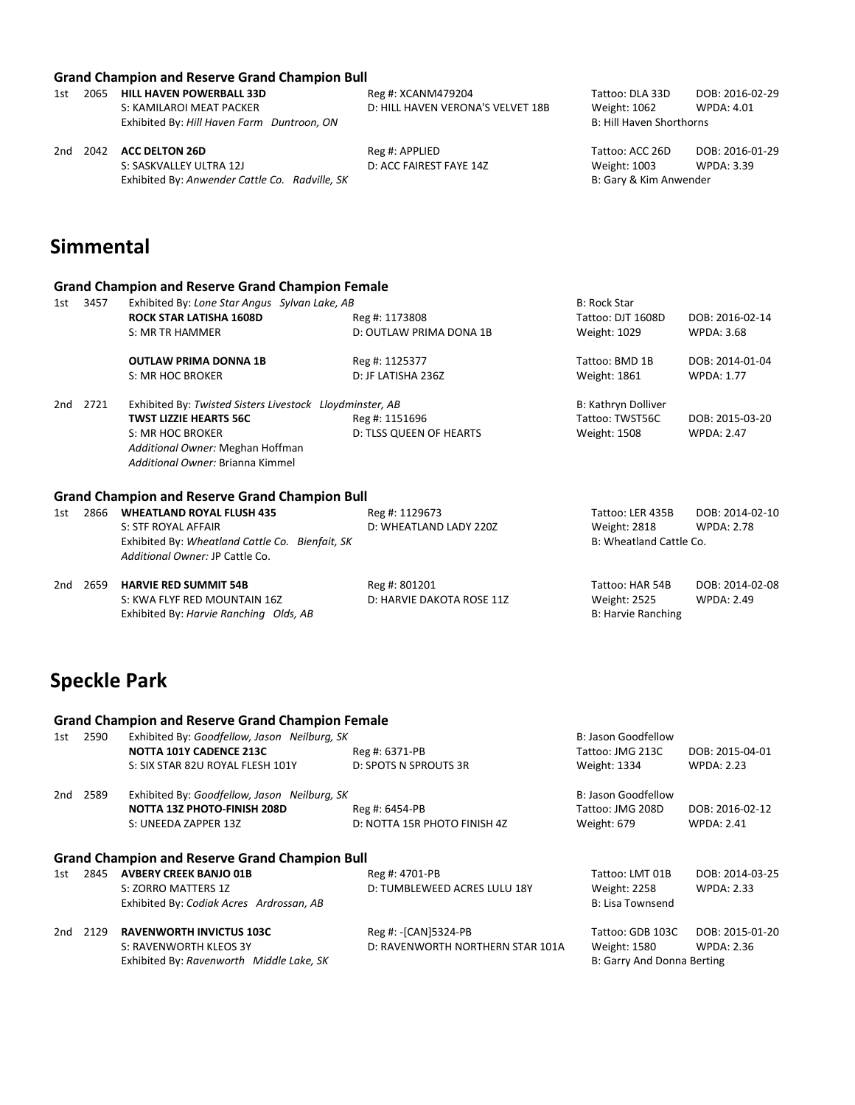|     |                                                | <b>Grand Champion and Reserve Grand Champion Bull</b> |                                   |                          |                 |
|-----|------------------------------------------------|-------------------------------------------------------|-----------------------------------|--------------------------|-----------------|
| 1st | 2065                                           | <b>HILL HAVEN POWERBALL 33D</b>                       | Reg #: XCANM479204                | Tattoo: DLA 33D          | DOB: 2016-02-29 |
|     |                                                | S: KAMILAROI MEAT PACKER                              | D: HILL HAVEN VERONA'S VELVET 18B | Weight: 1062             | WPDA: 4.01      |
|     |                                                | Exhibited By: Hill Haven Farm Duntroon, ON            |                                   | B: Hill Haven Shorthorns |                 |
| 2nd | 2042                                           | <b>ACC DELTON 26D</b>                                 | Reg #: APPLIED                    | Tattoo: ACC 26D          | DOB: 2016-01-29 |
|     |                                                | S: SASKVALLEY ULTRA 12J                               | D: ACC FAIREST FAYE 14Z           | Weight: 1003             | WPDA: 3.39      |
|     | Exhibited By: Anwender Cattle Co. Radville, SK |                                                       |                                   | B: Gary & Kim Anwender   |                 |
|     |                                                |                                                       |                                   |                          |                 |
|     |                                                |                                                       |                                   |                          |                 |

### **Simmental**

#### **Grand Champion and Reserve Grand Champion Female**

| 1st | 3457 | Exhibited By: Lone Star Angus Sylvan Lake, AB            |                         | <b>B: Rock Star</b> |                   |
|-----|------|----------------------------------------------------------|-------------------------|---------------------|-------------------|
|     |      | <b>ROCK STAR LATISHA 1608D</b>                           | Reg #: 1173808          | Tattoo: DJT 1608D   | DOB: 2016-02-14   |
|     |      | S: MR TR HAMMER                                          | D: OUTLAW PRIMA DONA 1B | Weight: 1029        | <b>WPDA: 3.68</b> |
|     |      | <b>OUTLAW PRIMA DONNA 1B</b>                             | Reg #: 1125377          | Tattoo: BMD 1B      | DOB: 2014-01-04   |
|     |      | S: MR HOC BROKER                                         | D: JF LATISHA 236Z      | Weight: 1861        | <b>WPDA: 1.77</b> |
| 2nd | 2721 | Exhibited By: Twisted Sisters Livestock Lloydminster, AB |                         | B: Kathryn Dolliver |                   |
|     |      | <b>TWST LIZZIE HEARTS 56C</b>                            | Reg #: 1151696          | Tattoo: TWST56C     | DOB: 2015-03-20   |
|     |      | S: MR HOC BROKER                                         | D: TLSS QUEEN OF HEARTS | <b>Weight: 1508</b> | <b>WPDA: 2.47</b> |
|     |      | Additional Owner: Meghan Hoffman                         |                         |                     |                   |
|     |      | Additional Owner: Brianna Kimmel                         |                         |                     |                   |
|     |      |                                                          |                         |                     |                   |

#### **Grand Champion and Reserve Grand Champion Bull**

| 1st | 2866     | <b>WHEATLAND ROYAL FLUSH 435</b><br>S: STF ROYAL AFFAIR                            | Reg #: 1129673<br>D: WHEATLAND LADY 220Z | Tattoo: LER 435B<br>Weight: 2818 | DOB: 2014-02-10<br><b>WPDA: 2.78</b> |
|-----|----------|------------------------------------------------------------------------------------|------------------------------------------|----------------------------------|--------------------------------------|
|     |          | Exhibited By: Wheatland Cattle Co. Bienfait, SK<br>Additional Owner: JP Cattle Co. |                                          | B: Wheatland Cattle Co.          |                                      |
|     | 2nd 2659 | <b>HARVIE RED SUMMIT 54B</b>                                                       | Reg #: 801201                            | Tattoo: HAR 54B                  | DOB: 2014-02-08                      |

|  | 2059 HARVIE RED SUMMIT 54B             | Reg #: 801201             | таттоо: нак 54В    | DOB: 2014-0 |
|--|----------------------------------------|---------------------------|--------------------|-------------|
|  | S: KWA FLYF RED MOUNTAIN 16Z           | D: HARVIE DAKOTA ROSE 11Z | Weight: 2525       | WPDA: 2.49  |
|  | Exhibited By: Harvie Ranching Olds, AB |                           | B: Harvie Ranching |             |

### **Speckle Park**

#### **Grand Champion and Reserve Grand Champion Female**

| 1st | 2590                                                  | Exhibited By: Goodfellow, Jason Neilburg, SK |                              | B: Jason Goodfellow |                   |  |  |
|-----|-------------------------------------------------------|----------------------------------------------|------------------------------|---------------------|-------------------|--|--|
|     |                                                       | NOTTA 101Y CADENCE 213C                      | Reg #: 6371-PB               | Tattoo: JMG 213C    | DOB: 2015-04-01   |  |  |
|     |                                                       | S: SIX STAR 82U ROYAL FLESH 101Y             | D: SPOTS N SPROUTS 3R        | Weight: 1334        | <b>WPDA: 2.23</b> |  |  |
| 2nd | 2589                                                  | Exhibited By: Goodfellow, Jason Neilburg, SK |                              | B: Jason Goodfellow |                   |  |  |
|     |                                                       | <b>NOTTA 13Z PHOTO-FINISH 208D</b>           | Reg #: 6454-PB               | Tattoo: JMG 208D    | DOB: 2016-02-12   |  |  |
|     |                                                       | S: UNEEDA ZAPPER 13Z                         | D: NOTTA 15R PHOTO FINISH 4Z | Weight: 679         | <b>WPDA: 2.41</b> |  |  |
|     | <b>Grand Champion and Reserve Grand Champion Bull</b> |                                              |                              |                     |                   |  |  |

### 1st 2845 **AVBERY CREEK BANJO 01B** Reg #: 4701-PB Tattoo: LMT 01B DOB: 2014-03-25 S: ZORRO MATTERS 1Z **D: TUMBLEWEED ACRES LULU 18Y** Weight: 2258 WPDA: 2.33 Exhibited By: *Codiak Acres Ardrossan, AB* B: Lisa Townsend B: Lisa Townsend 2nd 2129 **RAVENWORTH INVICTUS 103C** Reg #: -[CAN]5324-PB Tattoo: GDB 103C DOB: 2015-01-20 S: RAVENWORTH KLEOS 3Y D: RAVENWORTH NORTHERN STAR 101A Weight: 1580 WPDA: 2.36 Exhibited By: *Ravenworth Middle Lake, SK* B: Garry And Donna Berting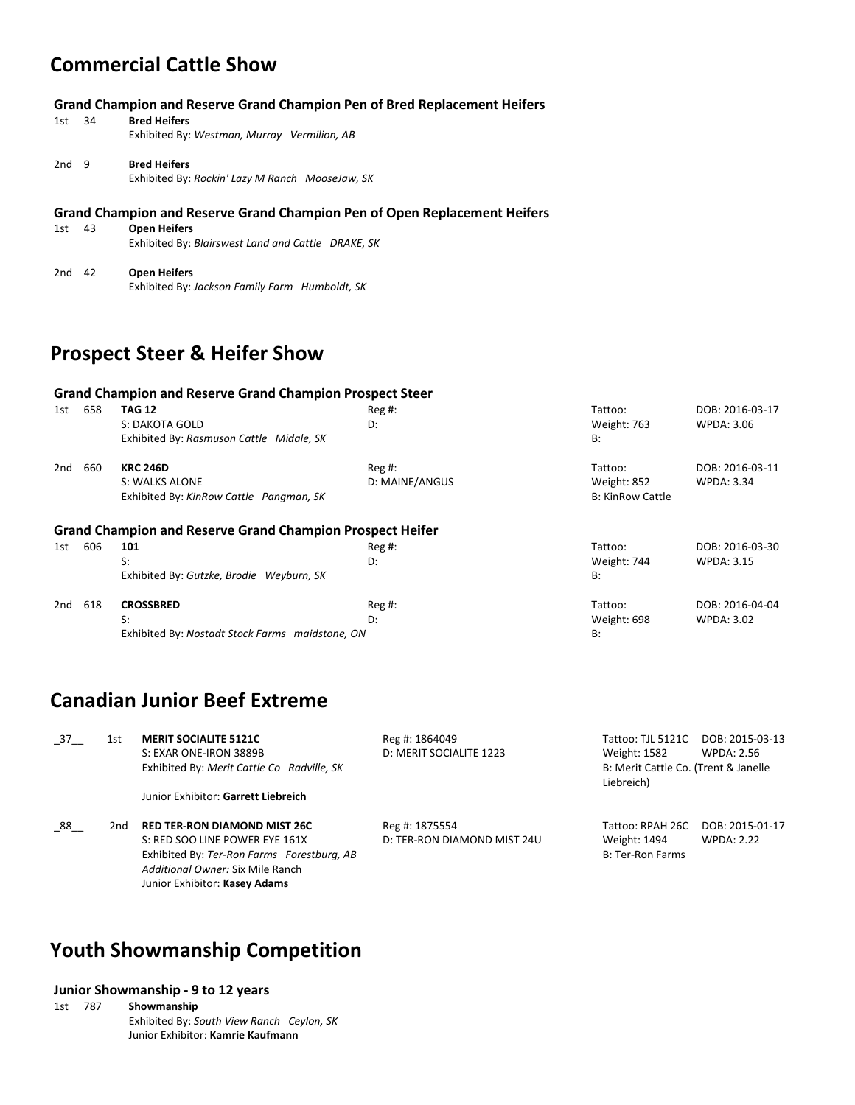### **Commercial Cattle Show**

1st 34 **Bred Heifers** Exhibited By: *Westman, Murray Vermilion, AB*

| 2nd <sub>9</sub> |  | <b>Bred Heifers</b>                             |  |
|------------------|--|-------------------------------------------------|--|
|                  |  | Exhibited By: Rockin' Lazy M Ranch MooseJaw, SK |  |

#### **Grand Champion and Reserve Grand Champion Pen of Open Replacement Heifers**

| 1st | 43 | <b>Open Heifers</b>                                |  |
|-----|----|----------------------------------------------------|--|
|     |    | Exhibited By: Blairswest Land and Cattle DRAKE, SK |  |
|     |    |                                                    |  |

2nd 42 **Open Heifers** Exhibited By: *Jackson Family Farm Humboldt, SK*

### **Prospect Steer & Heifer Show**

#### **Grand Champion and Reserve Grand Champion Prospect Steer**

| 1st | 658 | <b>TAG 12</b><br>S: DAKOTA GOLD<br>Exhibited By: Rasmuson Cattle Midale, SK  | $Reg#$ :<br>D:             | Tattoo:<br>Weight: 763<br><b>B:</b>               | DOB: 2016-03-17<br>WPDA: 3.06        |
|-----|-----|------------------------------------------------------------------------------|----------------------------|---------------------------------------------------|--------------------------------------|
| 2nd | 660 | <b>KRC 246D</b><br>S: WALKS ALONE<br>Exhibited By: KinRow Cattle Pangman, SK | $Reg#$ :<br>D: MAINE/ANGUS | Tattoo:<br>Weight: 852<br><b>B: KinRow Cattle</b> | DOB: 2016-03-11<br><b>WPDA: 3.34</b> |
|     |     | <b>Grand Champion and Reserve Grand Champion Prospect Heifer</b>             |                            |                                                   |                                      |
| 1st | 606 | 101                                                                          | $Reg#$ :                   | Tattoo:                                           | DOB: 2016-03-30                      |
|     |     | S:                                                                           | D:                         | Weight: 744                                       | <b>WPDA: 3.15</b>                    |
|     |     | Exhibited By: Gutzke, Brodie Weyburn, SK                                     |                            | B:                                                |                                      |
| 2nd | 618 | <b>CROSSBRED</b>                                                             | $Reg#$ :                   | Tattoo:                                           | DOB: 2016-04-04                      |
|     |     | S:                                                                           | D:                         | Weight: 698                                       | <b>WPDA: 3.02</b>                    |
|     |     | Exhibited By: Nostadt Stock Farms maidstone, ON                              |                            | B:                                                |                                      |

### **Canadian Junior Beef Extreme**

| 37 | 1st | <b>MERIT SOCIALITE 5121C</b><br>S: EXAR ONE-IRON 3889B<br>Exhibited By: Merit Cattle Co Radville, SK                                                                                     | Reg #: 1864049<br>D: MERIT SOCIALITE 1223     | Tattoo: TJL 5121C<br>Weight: 1582<br>B: Merit Cattle Co. (Trent & Janelle<br>Liebreich) | DOB: 2015-03-13<br><b>WPDA: 2.56</b> |
|----|-----|------------------------------------------------------------------------------------------------------------------------------------------------------------------------------------------|-----------------------------------------------|-----------------------------------------------------------------------------------------|--------------------------------------|
|    |     | Junior Exhibitor: Garrett Liebreich                                                                                                                                                      |                                               |                                                                                         |                                      |
| 88 | 2nd | <b>RED TER-RON DIAMOND MIST 26C</b><br>S: RED SOO LINE POWER EYE 161X<br>Exhibited By: Ter-Ron Farms Forestburg, AB<br>Additional Owner: Six Mile Ranch<br>Junior Exhibitor: Kasey Adams | Reg #: 1875554<br>D: TER-RON DIAMOND MIST 24U | Tattoo: RPAH 26C<br>Weight: 1494<br>B: Ter-Ron Farms                                    | DOB: 2015-01-17<br><b>WPDA: 2.22</b> |

### **Youth Showmanship Competition**

#### **Junior Showmanship - 9 to 12 years**

1st 787 **Showmanship** Exhibited By: *South View Ranch Ceylon, SK* Junior Exhibitor: **Kamrie Kaufmann**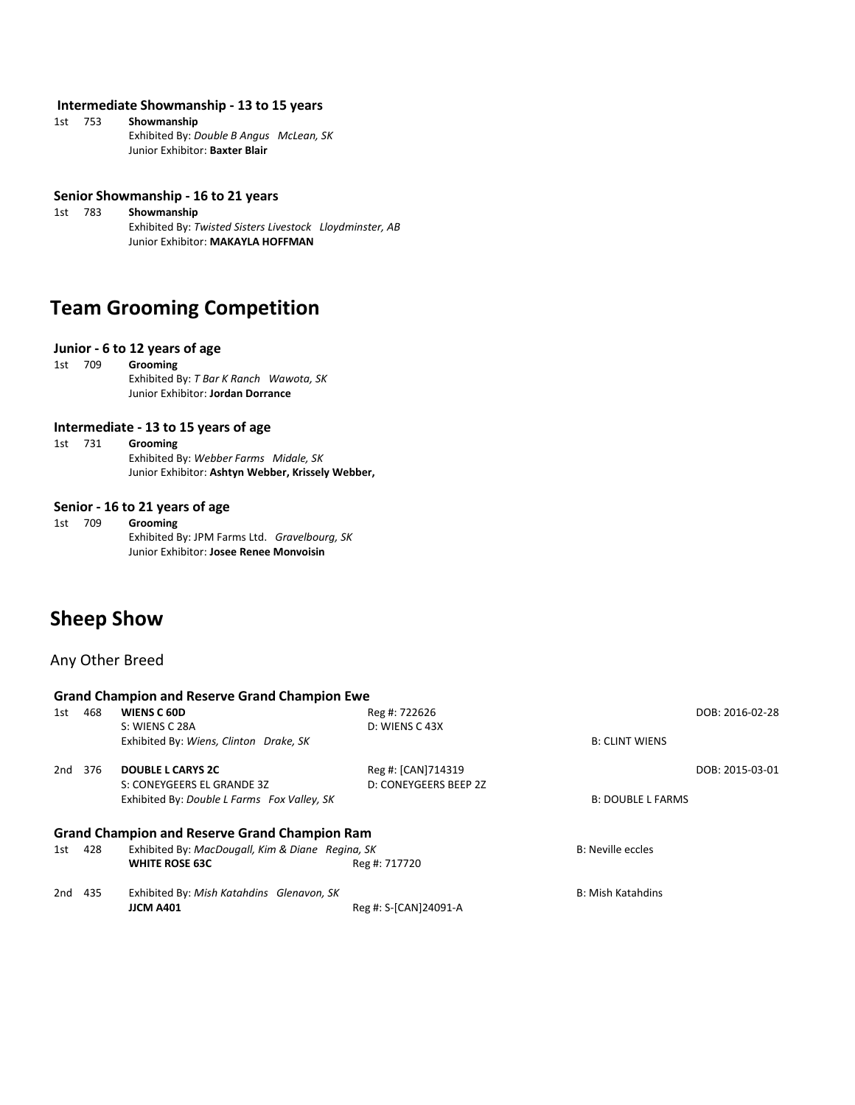#### **Intermediate Showmanship - 13 to 15 years**

| 1st | 753 | Showmanship                             |  |
|-----|-----|-----------------------------------------|--|
|     |     | Exhibited By: Double B Angus McLean, SK |  |
|     |     | Junior Exhibitor: Baxter Blair          |  |

#### **Senior Showmanship - 16 to 21 years**

1st 783 **Showmanship** Exhibited By: *Twisted Sisters Livestock Lloydminster, AB* Junior Exhibitor: **MAKAYLA HOFFMAN**

### **Team Grooming Competition**

#### **Junior - 6 to 12 years of age**

```
1st 709 Grooming
```
Exhibited By: *T Bar K Ranch Wawota, SK* Junior Exhibitor: **Jordan Dorrance**

#### **Intermediate - 13 to 15 years of age**

1st 731 **Grooming** Exhibited By: *Webber Farms Midale, SK* Junior Exhibitor: **Ashtyn Webber, Krissely Webber,**

#### **Senior - 16 to 21 years of age**

1st 709 **Grooming** Exhibited By: JPM Farms Ltd. *Gravelbourg, SK* Junior Exhibitor: **Josee Renee Monvoisin**

### **Sheep Show**

#### Any Other Breed

|     | <b>Grand Champion and Reserve Grand Champion Ewe</b> |                                                  |                       |                          |                 |  |  |
|-----|------------------------------------------------------|--------------------------------------------------|-----------------------|--------------------------|-----------------|--|--|
| 1st | 468                                                  | WIENS C 60D                                      | Reg #: 722626         |                          | DOB: 2016-02-28 |  |  |
|     |                                                      | S: WIENS C 28A                                   | D: WIENS C 43X        |                          |                 |  |  |
|     |                                                      | Exhibited By: Wiens, Clinton Drake, SK           |                       | <b>B: CLINT WIENS</b>    |                 |  |  |
| 2nd | 376                                                  | <b>DOUBLE L CARYS 2C</b>                         | Reg #: [CAN]714319    |                          | DOB: 2015-03-01 |  |  |
|     |                                                      | S: CONEYGEERS EL GRANDE 3Z                       | D: CONEYGEERS BEEP 2Z |                          |                 |  |  |
|     |                                                      | Exhibited By: Double L Farms Fox Valley, SK      |                       | <b>B: DOUBLE L FARMS</b> |                 |  |  |
|     | <b>Grand Champion and Reserve Grand Champion Ram</b> |                                                  |                       |                          |                 |  |  |
| 1st | 428                                                  | Exhibited By: MacDougall, Kim & Diane Regina, SK |                       | <b>B: Neville eccles</b> |                 |  |  |
|     |                                                      | <b>WHITE ROSE 63C</b>                            | Reg #: 717720         |                          |                 |  |  |
| 2nd | 435                                                  | Exhibited By: Mish Katahdins Glenavon, SK        |                       | <b>B: Mish Katahdins</b> |                 |  |  |
|     |                                                      | <b>JJCM A401</b>                                 | Reg #: S-[CAN]24091-A |                          |                 |  |  |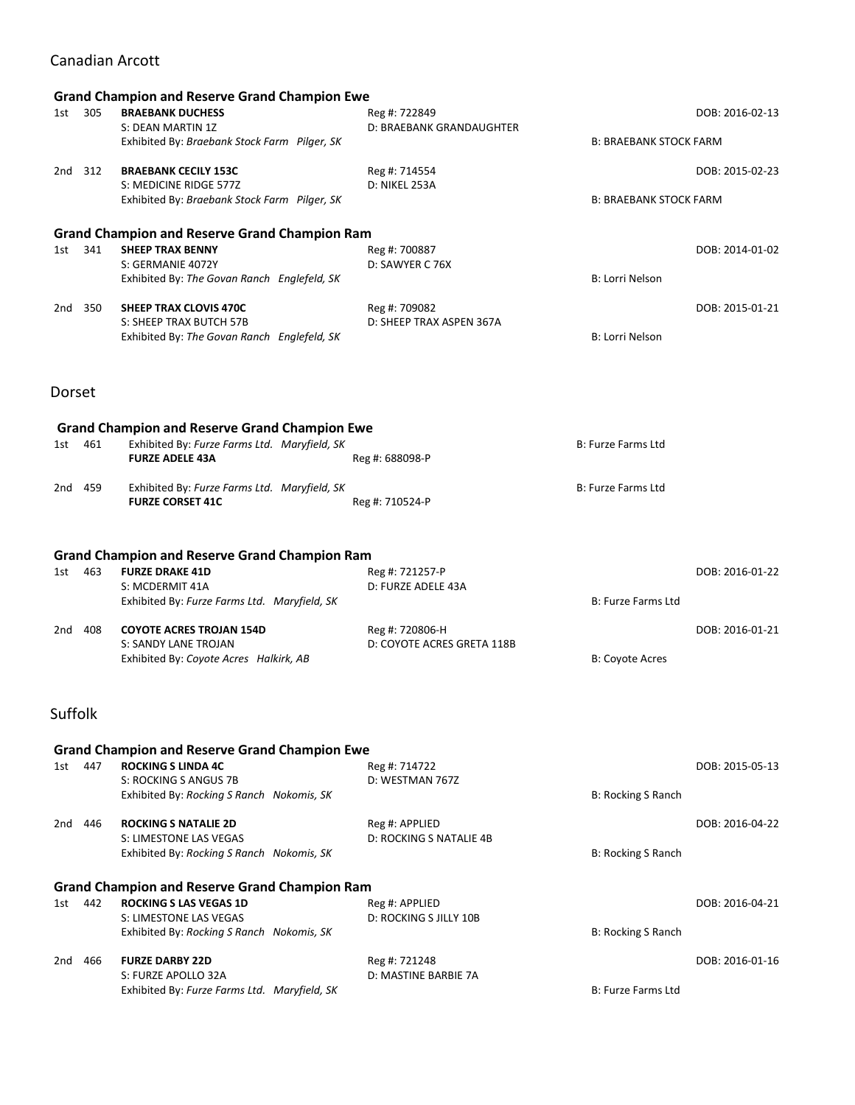### Canadian Arcott

| 1st     | 305     | <b>Grand Champion and Reserve Grand Champion Ewe</b><br><b>BRAEBANK DUCHESS</b> | Reg #: 722849                                 |                               | DOB: 2016-02-13 |
|---------|---------|---------------------------------------------------------------------------------|-----------------------------------------------|-------------------------------|-----------------|
|         |         | S: DEAN MARTIN 1Z<br>Exhibited By: Braebank Stock Farm Pilger, SK               | D: BRAEBANK GRANDAUGHTER                      | <b>B: BRAEBANK STOCK FARM</b> |                 |
|         | 2nd 312 | <b>BRAEBANK CECILY 153C</b>                                                     | Reg #: 714554                                 |                               | DOB: 2015-02-23 |
|         |         | S: MEDICINE RIDGE 577Z<br>Exhibited By: Braebank Stock Farm Pilger, SK          | D: NIKEL 253A                                 | <b>B: BRAEBANK STOCK FARM</b> |                 |
|         |         | <b>Grand Champion and Reserve Grand Champion Ram</b>                            |                                               |                               |                 |
| 1st     | 341     | <b>SHEEP TRAX BENNY</b><br>S: GERMANIE 4072Y                                    | Reg #: 700887<br>D: SAWYER C 76X              |                               | DOB: 2014-01-02 |
|         |         | Exhibited By: The Govan Ranch Englefeld, SK                                     |                                               | <b>B: Lorri Nelson</b>        |                 |
|         | 2nd 350 | SHEEP TRAX CLOVIS 470C                                                          | Reg #: 709082                                 |                               | DOB: 2015-01-21 |
|         |         | S: SHEEP TRAX BUTCH 57B<br>Exhibited By: The Govan Ranch Englefeld, SK          | D: SHEEP TRAX ASPEN 367A                      | <b>B: Lorri Nelson</b>        |                 |
| Dorset  |         |                                                                                 |                                               |                               |                 |
|         |         | <b>Grand Champion and Reserve Grand Champion Ewe</b>                            |                                               |                               |                 |
| 1st     | 461     | Exhibited By: Furze Farms Ltd. Maryfield, SK<br><b>FURZE ADELE 43A</b>          | Reg #: 688098-P                               | <b>B: Furze Farms Ltd</b>     |                 |
|         | 2nd 459 | Exhibited By: Furze Farms Ltd. Maryfield, SK<br><b>FURZE CORSET 41C</b>         | Reg #: 710524-P                               | <b>B: Furze Farms Ltd</b>     |                 |
|         |         |                                                                                 |                                               |                               |                 |
| 1st     | 463     | <b>Grand Champion and Reserve Grand Champion Ram</b><br><b>FURZE DRAKE 41D</b>  | Reg #: 721257-P                               |                               | DOB: 2016-01-22 |
|         |         | S: MCDERMIT 41A                                                                 | D: FURZE ADELE 43A                            |                               |                 |
|         |         | Exhibited By: Furze Farms Ltd. Maryfield, SK                                    |                                               | B: Furze Farms Ltd            |                 |
|         | 2nd 408 | <b>COYOTE ACRES TROJAN 154D</b><br>S: SANDY LANE TROJAN                         | Reg #: 720806-H<br>D: COYOTE ACRES GRETA 118B |                               | DOB: 2016-01-21 |
|         |         | Exhibited By: Coyote Acres Halkirk, AB                                          |                                               | <b>B: Coyote Acres</b>        |                 |
| Suffolk |         |                                                                                 |                                               |                               |                 |
|         |         | <b>Grand Champion and Reserve Grand Champion Ewe</b>                            |                                               |                               |                 |
| 1st     | 447     | <b>ROCKING S LINDA 4C</b><br>S: ROCKING S ANGUS 7B                              | Reg #: 714722<br>D: WESTMAN 767Z              |                               | DOB: 2015-05-13 |
|         |         | Exhibited By: Rocking S Ranch Nokomis, SK                                       |                                               | <b>B: Rocking S Ranch</b>     |                 |
|         | 2nd 446 | <b>ROCKING S NATALIE 2D</b>                                                     | Reg #: APPLIED                                |                               | DOB: 2016-04-22 |
|         |         | S: LIMESTONE LAS VEGAS                                                          | D: ROCKING S NATALIE 4B                       |                               |                 |
|         |         | Exhibited By: Rocking S Ranch Nokomis, SK                                       |                                               | <b>B: Rocking S Ranch</b>     |                 |
|         |         | <b>Grand Champion and Reserve Grand Champion Ram</b>                            |                                               |                               |                 |
| 1st     | 442     | <b>ROCKING S LAS VEGAS 1D</b><br>S: LIMESTONE LAS VEGAS                         | Reg #: APPLIED<br>D: ROCKING S JILLY 10B      |                               | DOB: 2016-04-21 |
|         |         | Exhibited By: Rocking S Ranch Nokomis, SK                                       |                                               | <b>B: Rocking S Ranch</b>     |                 |
| 2nd     | 466     | <b>FURZE DARBY 22D</b>                                                          | Reg #: 721248                                 |                               | DOB: 2016-01-16 |
|         |         | S: FURZE APOLLO 32A<br>Exhibited By: Furze Farms Ltd. Maryfield, SK             | D: MASTINE BARBIE 7A                          | <b>B: Furze Farms Ltd</b>     |                 |
|         |         |                                                                                 |                                               |                               |                 |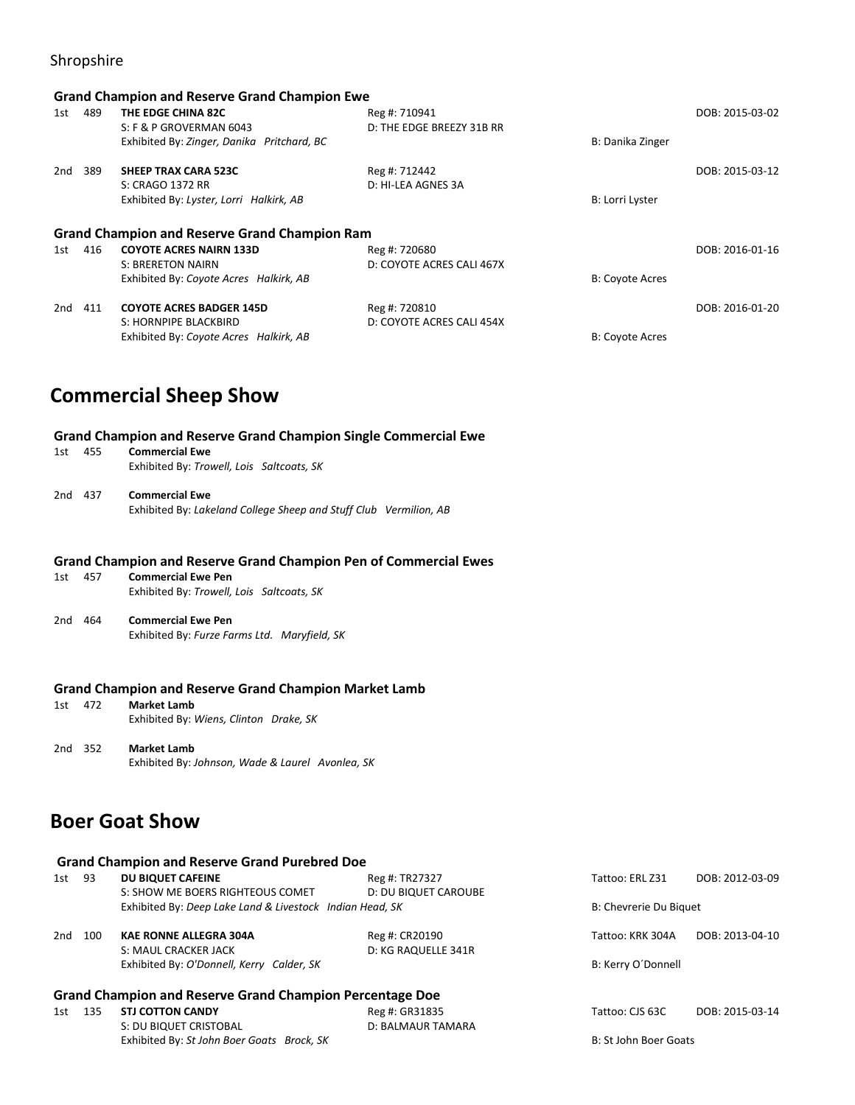### Shropshire

|     | <b>Grand Champion and Reserve Grand Champion Ewe</b> |                                                      |                           |                        |                 |  |  |
|-----|------------------------------------------------------|------------------------------------------------------|---------------------------|------------------------|-----------------|--|--|
| 1st | 489                                                  | THE EDGE CHINA 82C                                   | Reg #: 710941             |                        | DOB: 2015-03-02 |  |  |
|     |                                                      | S: F & P GROVERMAN 6043                              | D: THE EDGE BREEZY 31B RR |                        |                 |  |  |
|     |                                                      | Exhibited By: Zinger, Danika Pritchard, BC           |                           | B: Danika Zinger       |                 |  |  |
| 2nd | 389                                                  | <b>SHEEP TRAX CARA 523C</b>                          | Reg #: 712442             |                        | DOB: 2015-03-12 |  |  |
|     |                                                      | S: CRAGO 1372 RR                                     | D: HI-LEA AGNES 3A        |                        |                 |  |  |
|     |                                                      | Exhibited By: Lyster, Lorri Halkirk, AB              |                           | B: Lorri Lyster        |                 |  |  |
|     |                                                      | <b>Grand Champion and Reserve Grand Champion Ram</b> |                           |                        |                 |  |  |
| 1st | 416                                                  | <b>COYOTE ACRES NAIRN 133D</b>                       | Reg #: 720680             |                        | DOB: 2016-01-16 |  |  |
|     |                                                      | <b>S: BRERETON NAIRN</b>                             | D: COYOTE ACRES CALI 467X |                        |                 |  |  |
|     |                                                      | Exhibited By: Coyote Acres Halkirk, AB               |                           | <b>B: Coyote Acres</b> |                 |  |  |
| 2nd | 411                                                  | <b>COYOTE ACRES BADGER 145D</b>                      | Reg #: 720810             |                        | DOB: 2016-01-20 |  |  |
|     |                                                      | S: HORNPIPE BLACKBIRD                                | D: COYOTE ACRES CALI 454X |                        |                 |  |  |
|     |                                                      | Exhibited By: Coyote Acres Halkirk, AB               |                           | <b>B: Coyote Acres</b> |                 |  |  |

### **Commercial Sheep Show**

#### **Grand Champion and Reserve Grand Champion Single Commercial Ewe**

| 1st     | 455 | <b>Commercial Ewe</b>                     |  |  |
|---------|-----|-------------------------------------------|--|--|
|         |     | Exhibited By: Trowell, Lois Saltcoats, SK |  |  |
|         |     |                                           |  |  |
| 2nd 437 |     | <b>Commercial Ewe</b>                     |  |  |

Exhibited By: *Lakeland College Sheep and Stuff Club Vermilion, AB*

#### **Grand Champion and Reserve Grand Champion Pen of Commercial Ewes**

| 1st | 457 | <b>Commercial Ewe Pen</b><br>Exhibited By: Trowell, Lois Saltcoats, SK |
|-----|-----|------------------------------------------------------------------------|
| 2nd | 464 | <b>Commercial Ewe Pen</b>                                              |

### Exhibited By: *Furze Farms Ltd. Maryfield, SK*

# **Grand Champion and Reserve Grand Champion Market Lamb**<br>1st 472 Market Lamb

- **Market Lamb** Exhibited By: *Wiens, Clinton Drake, SK*
- 2nd 352 **Market Lamb** Exhibited By: *Johnson, Wade & Laurel Avonlea, SK*

### **Boer Goat Show**

|     |       | <b>Grand Champion and Reserve Grand Purebred Doe</b>            |                      |                        |                 |
|-----|-------|-----------------------------------------------------------------|----------------------|------------------------|-----------------|
| 1st | 93    | <b>DU BIQUET CAFEINE</b>                                        | Reg #: TR27327       | Tattoo: ERL Z31        | DOB: 2012-03-09 |
|     |       | S: SHOW ME BOERS RIGHTEOUS COMET                                | D: DU BIQUET CAROUBE |                        |                 |
|     |       | Exhibited By: Deep Lake Land & Livestock Indian Head, SK        |                      | B: Chevrerie Du Biguet |                 |
| 2nd | 100   | <b>KAE RONNE ALLEGRA 304A</b>                                   | Reg #: CR20190       | Tattoo: KRK 304A       | DOB: 2013-04-10 |
|     |       | S: MAUL CRACKER JACK                                            | D: KG RAQUELLE 341R  |                        |                 |
|     |       | Exhibited By: O'Donnell, Kerry Calder, SK                       |                      | B: Kerry O'Donnell     |                 |
|     |       | <b>Grand Champion and Reserve Grand Champion Percentage Doe</b> |                      |                        |                 |
| 1st | - 135 | <b>STJ COTTON CANDY</b>                                         | Reg #: GR31835       | Tattoo: CJS 63C        | DOB: 2015-03-14 |
|     |       | S: DU BIQUET CRISTOBAL                                          | D: BALMAUR TAMARA    |                        |                 |

#### Exhibited By: *St John Boer Goats Brock, SK* B: St John Boer Goats B: St John Boer Goats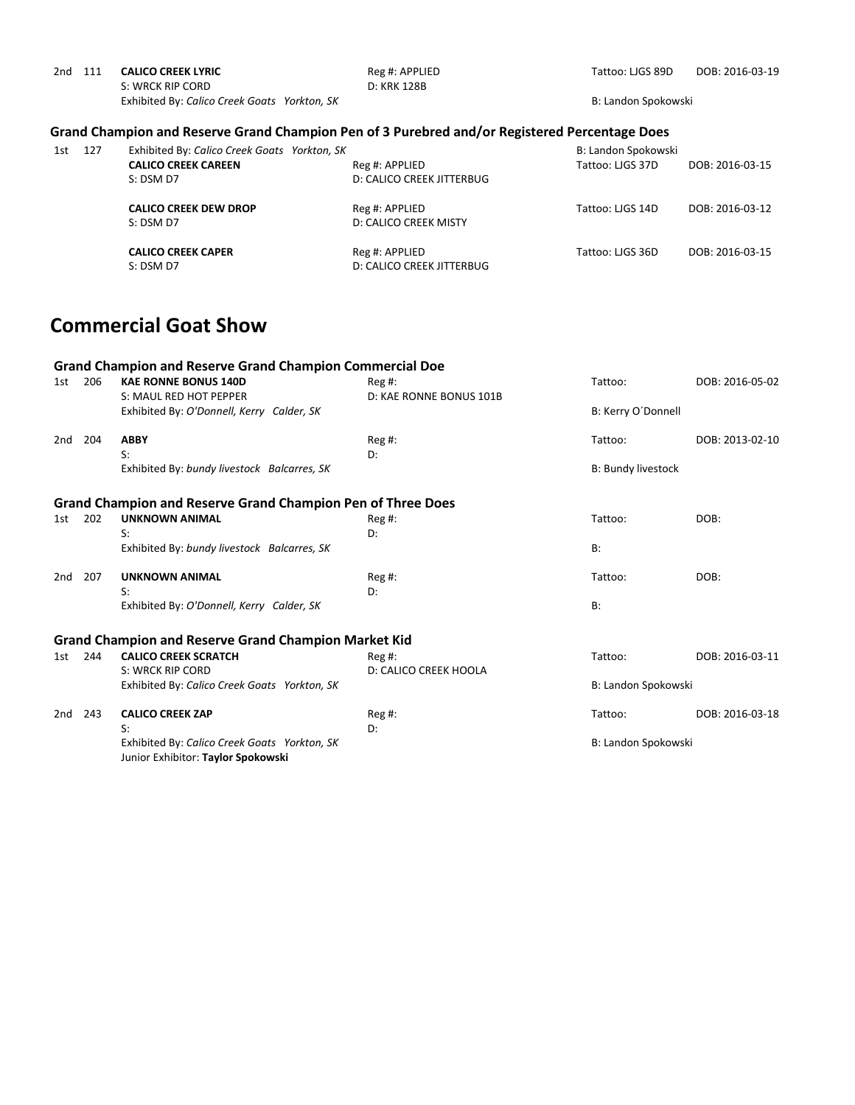| 2nd | 111 | <b>CALICO CREEK LYRIC</b>                    |  | Reg #: APPLIED |
|-----|-----|----------------------------------------------|--|----------------|
|     |     | S: WRCK RIP CORD                             |  | D: KRK 128B    |
|     |     | Exhibited By: Calico Creek Goats Yorkton, SK |  |                |

Tattoo: LJGS 89D DOB: 2016-03-19

B: Landon Spokowski

### **Grand Champion and Reserve Grand Champion Pen of 3 Purebred and/or Registered Percentage Does**

| 1st | 127 | Exhibited By: Calico Creek Goats Yorkton, SK |                                                    | B: Landon Spokowski |                 |
|-----|-----|----------------------------------------------|----------------------------------------------------|---------------------|-----------------|
|     |     | <b>CALICO CREEK CAREEN</b>                   | Reg #: APPLIED                                     | Tattoo: LIGS 37D    | DOB: 2016-03-15 |
|     |     | $S:$ DSM D7                                  | D: CALICO CREEK JITTERBUG                          |                     |                 |
|     |     | <b>CALICO CREEK DEW DROP</b><br>S: DSM D7    | Reg #: APPLIED<br>D: CALICO CREEK MISTY            | Tattoo: LIGS 14D    | DOB: 2016-03-12 |
|     |     | <b>CALICO CREEK CAPER</b><br>S: DSM D7       | Reg #: APPLIED<br><b>D: CALICO CREEK JITTERBUG</b> | Tattoo: LIGS 36D    | DOB: 2016-03-15 |

### **Commercial Goat Show**

|     |     | <b>Grand Champion and Reserve Grand Champion Commercial Doe</b>                          |                                     |                           |                 |
|-----|-----|------------------------------------------------------------------------------------------|-------------------------------------|---------------------------|-----------------|
| 1st | 206 | <b>KAE RONNE BONUS 140D</b><br>S: MAUL RED HOT PEPPER                                    | $Reg#$ :<br>D: KAE RONNE BONUS 101B | Tattoo:                   | DOB: 2016-05-02 |
|     |     | Exhibited By: O'Donnell, Kerry Calder, SK                                                |                                     | B: Kerry O'Donnell        |                 |
| 2nd | 204 | <b>ABBY</b><br>S:                                                                        | $Reg#$ :<br>D:                      | Tattoo:                   | DOB: 2013-02-10 |
|     |     | Exhibited By: bundy livestock Balcarres, SK                                              |                                     | <b>B: Bundy livestock</b> |                 |
|     |     | <b>Grand Champion and Reserve Grand Champion Pen of Three Does</b>                       |                                     |                           |                 |
| 1st | 202 | <b>UNKNOWN ANIMAL</b><br>$S$ :                                                           | Reg #:<br>D:                        | Tattoo:                   | DOB:            |
|     |     | Exhibited By: bundy livestock Balcarres, SK                                              |                                     | <b>B:</b>                 |                 |
| 2nd | 207 | <b>UNKNOWN ANIMAL</b><br>S:                                                              | $Reg#$ :<br>D:                      | Tattoo:                   | DOB:            |
|     |     | Exhibited By: O'Donnell, Kerry Calder, SK                                                |                                     | B:                        |                 |
|     |     | <b>Grand Champion and Reserve Grand Champion Market Kid</b>                              |                                     |                           |                 |
| 1st | 244 | <b>CALICO CREEK SCRATCH</b><br>S: WRCK RIP CORD                                          | $Reg#$ :<br>D: CALICO CREEK HOOLA   | Tattoo:                   | DOB: 2016-03-11 |
|     |     | Exhibited By: Calico Creek Goats Yorkton, SK                                             |                                     | B: Landon Spokowski       |                 |
| 2nd | 243 | <b>CALICO CREEK ZAP</b>                                                                  | $Reg#$ :                            | Tattoo:                   | DOB: 2016-03-18 |
|     |     | S:<br>Exhibited By: Calico Creek Goats Yorkton, SK<br>Junior Exhibitor: Taylor Spokowski | D:                                  | B: Landon Spokowski       |                 |